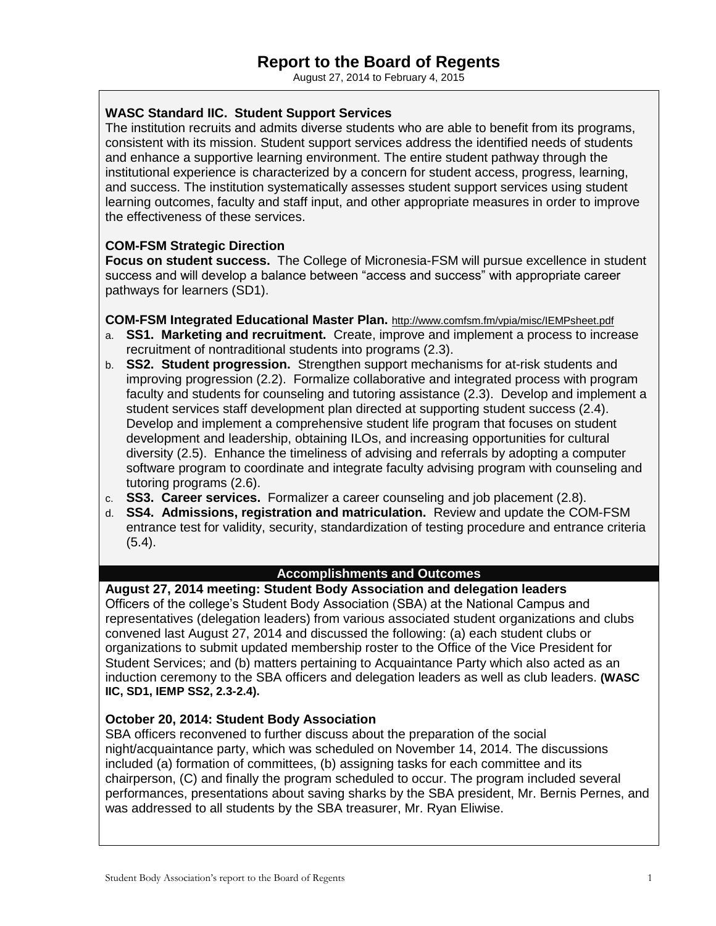August 27, 2014 to February 4, 2015

## **WASC Standard IIC. Student Support Services**

The institution recruits and admits diverse students who are able to benefit from its programs, consistent with its mission. Student support services address the identified needs of students and enhance a supportive learning environment. The entire student pathway through the institutional experience is characterized by a concern for student access, progress, learning, and success. The institution systematically assesses student support services using student learning outcomes, faculty and staff input, and other appropriate measures in order to improve the effectiveness of these services.

# **COM-FSM Strategic Direction**

**Focus on student success.** The College of Micronesia-FSM will pursue excellence in student success and will develop a balance between "access and success" with appropriate career pathways for learners (SD1).

### **COM-FSM Integrated Educational Master Plan.** <http://www.comfsm.fm/vpia/misc/IEMPsheet.pdf>

- a. **SS1. Marketing and recruitment.** Create, improve and implement a process to increase recruitment of nontraditional students into programs (2.3).
- b. **SS2. Student progression.** Strengthen support mechanisms for at-risk students and improving progression (2.2). Formalize collaborative and integrated process with program faculty and students for counseling and tutoring assistance (2.3). Develop and implement a student services staff development plan directed at supporting student success (2.4). Develop and implement a comprehensive student life program that focuses on student development and leadership, obtaining ILOs, and increasing opportunities for cultural diversity (2.5). Enhance the timeliness of advising and referrals by adopting a computer software program to coordinate and integrate faculty advising program with counseling and tutoring programs (2.6).
- c. **SS3. Career services.** Formalizer a career counseling and job placement (2.8).
- d. **SS4. Admissions, registration and matriculation.** Review and update the COM-FSM entrance test for validity, security, standardization of testing procedure and entrance criteria  $(5.4)$ .

## **Accomplishments and Outcomes**

**August 27, 2014 meeting: Student Body Association and delegation leaders** Officers of the college's Student Body Association (SBA) at the National Campus and representatives (delegation leaders) from various associated student organizations and clubs convened last August 27, 2014 and discussed the following: (a) each student clubs or organizations to submit updated membership roster to the Office of the Vice President for Student Services; and (b) matters pertaining to Acquaintance Party which also acted as an induction ceremony to the SBA officers and delegation leaders as well as club leaders. **(WASC IIC, SD1, IEMP SS2, 2.3-2.4).**

### **October 20, 2014: Student Body Association**

SBA officers reconvened to further discuss about the preparation of the social night/acquaintance party, which was scheduled on November 14, 2014. The discussions included (a) formation of committees, (b) assigning tasks for each committee and its chairperson, (C) and finally the program scheduled to occur. The program included several performances, presentations about saving sharks by the SBA president, Mr. Bernis Pernes, and was addressed to all students by the SBA treasurer, Mr. Ryan Eliwise.